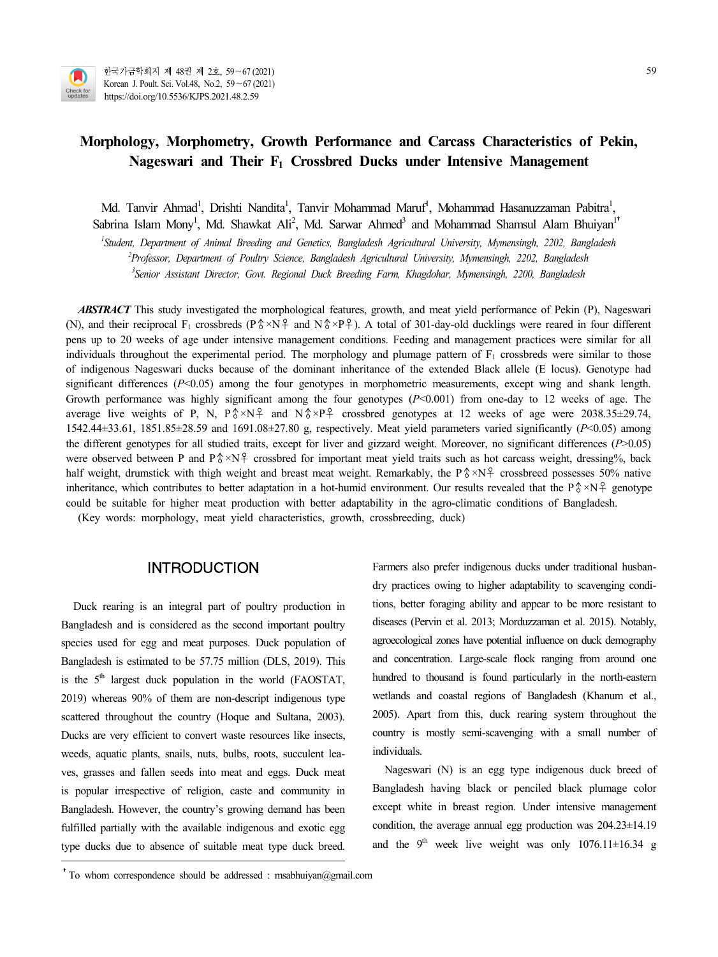

# **Morphology, Morphometry, Growth Performance and Carcass Characteristics of Pekin, Nageswari and Their F<sup>1</sup> Crossbred Ducks under Intensive Management**

Md. Tanvir Ahmad<sup>1</sup>, Drishti Nandita<sup>1</sup>, Tanvir Mohammad Maruf<sup>1</sup>, Mohammad Hasanuzzaman Pabitra<sup>1</sup>, Md. Tanvir Ahmad<sup>1</sup>, Drishti Nandita<sup>1</sup>, Tanvir Mohammad Maruf<sup>1</sup>, Mohammad Hasanuzzaman Pabitra<sup>1</sup>,<br>Sabrina Islam Mony<sup>1</sup>, Md. Shawkat Ali<sup>2</sup>, Md. Sarwar Ahmed<sup>3</sup> and Mohammad Shamsul Alam Bhuiyan<sup>1†</sup>

*<sup>1</sup>Student, Department of Animal Breeding and Genetics, Bangladesh Agricultural University, Mymensingh, 2202, Bangladesh*

*<sup>2</sup>Professor, Department of Poultry Science, Bangladesh Agricultural University, Mymensingh, 2202, Bangladesh*

*<sup>3</sup>Senior Assistant Director, Govt. Regional Duck Breeding Farm, Khagdohar, Mymensingh, 2200, Bangladesh*

*ABSTRACT* This study investigated the morphological features, growth, and meat yield performance of Pekin (P), Nageswari (N), and their reciprocal F<sub>1</sub> crossbreds (P  $\sqrt[6]{\times}N^2$  and N  $\sqrt[6]{\times}P^2$ ). A total of 301-day-old ducklings were reared in four different pens up to 20 weeks of age under intensive management conditions. Feeding and management practices were similar for all individuals throughout the experimental period. The morphology and plumage pattern of  $F_1$  crossbreds were similar to those of indigenous Nageswari ducks because of the dominant inheritance of the extended Black allele (E locus). Genotype had significant differences ( $P$ <0.05) among the four genotypes in morphometric measurements, except wing and shank length. Growth performance was highly significant among the four genotypes ( $P<0.001$ ) from one-day to 12 weeks of age. The average live weights of P, N,  $P\> NP$  and  $N\> P\}$  crossbred genotypes at 12 weeks of age were 2038.35±29.74, 1542.44±33.61, 1851.85±28.59 and 1691.08±27.80 g, respectively. Meat yield parameters varied significantly (*P*<0.05) among the different genotypes for all studied traits, except for liver and gizzard weight. Moreover, no significant differences (*P*>0.05) were observed between P and P  $^{\circ}$ ×N  $^{\circ}$  crossbred for important meat yield traits such as hot carcass weight, dressing%, back half weight, drumstick with thigh weight and breast meat weight. Remarkably, the P $\frac{8}{8} \times N\frac{9}{12}$  crossbreed possesses 50% native inheritance, which contributes to better adaptation in a hot-humid environment. Our results revealed that the P $\frac{8 \times N}{7}$  genotype could be suitable for higher meat production with better adaptability in the agro-climatic conditions of Bangladesh.

(Key words: morphology, meat yield characteristics, growth, crossbreeding, duck)

# INTRODUCTION

Duck rearing is an integral part of poultry production in Bangladesh and is considered as the second important poultry diseases (Pervin et al. 2013; Morduzzaman et al. 2015). Notably, species used for egg and meat purposes. Duck population of Bangladesh is estimated to be 57.75 million (DLS, 2019). This is the 5<sup>th</sup> largest duck population in the world (FAOSTAT, hund 2019) whereas 90% of them are non-descript indigenous type scattered throughout the country (Hoque and Sultana, 2003). Ducks are very efficient to convert waste resources like insects, weeds, aquatic plants, snails, nuts, bulbs, roots, succulent lea ves, grasses and fallen seeds into meat and eggs. Duck meat is popular irrespective of religion, caste and community in Bangladesh. However, the country's growing demand has been fulfilled partially with the available indigenous and exotic egg type ducks due to absence of suitable meat type duck breed.

Farmers also prefer indigenous ducks under traditional husban dry practices owing to higher adaptability to scavenging conditions, better foraging ability and appear to be more resistant to agroecological zones have potential influence on duck demography and concentration. Large-scale flock ranging from around one hundred to thousand is found particularly in the north-eastern wetlands and coastal regions of Bangladesh (Khanum et al., 2005). Apart from this, duck rearing system throughout the country is mostly semi-scavenging with a small number of individuals.

Nageswari (N) is an egg type indigenous duck breed of Bangladesh having black or penciled black plumage color except white in breast region. Under intensive management condition, the average annual egg production was 204.23±14.19 and the 9<sup>th</sup> week live weight was only  $1076.11 \pm 16.34$  g

<sup>&</sup>lt;sup>†</sup>To whom correspondence should be addressed : msabhuiyan@gmail.com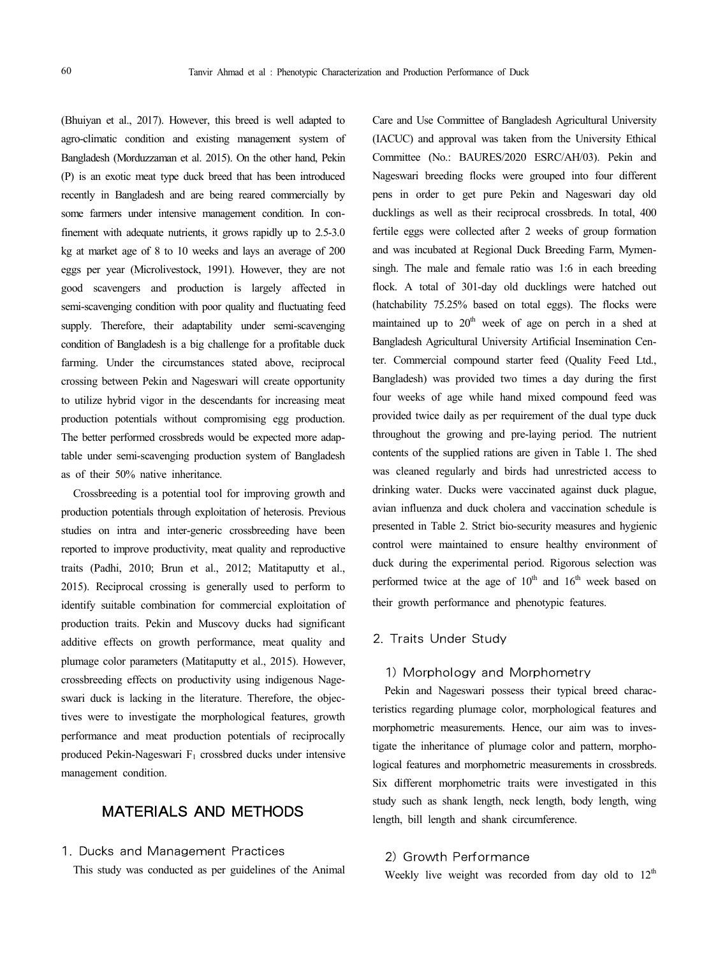(Bhuiyan et al., 2017). However, this breed is well adapted to agro-climatic condition and existing management system of Bangladesh (Morduzzaman et al. 2015). On the other hand, Pekin (P) is an exotic meat type duck breed that has been introduced recently in Bangladesh and are being reared commercially by some farmers under intensive management condition. In confinement with adequate nutrients, it grows rapidly up to 2.5-3.0 kg at market age of 8 to 10 weeks and lays an average of 200 eggs per year (Microlivestock, 1991). However, they are not good scavengers and production is largely affected in semi-scavenging condition with poor quality and fluctuating feed supply. Therefore, their adaptability under semi-scavenging condition of Bangladesh is a big challenge for a profitable duck farming. Under the circumstances stated above, reciprocal crossing between Pekin and Nageswari will create opportunity to utilize hybrid vigor in the descendants for increasing meat production potentials without compromising egg production. The better performed crossbreds would be expected more adaptable under semi-scavenging production system of Bangladesh as of their 50% native inheritance.

Crossbreeding is a potential tool for improving growth and production potentials through exploitation of heterosis. Previous studies on intra and inter-generic crossbreeding have been reported to improve productivity, meat quality and reproductive traits (Padhi, 2010; Brun et al., 2012; Matitaputty et al., 2015). Reciprocal crossing is generally used to perform to identify suitable combination for commercial exploitation of production traits. Pekin and Muscovy ducks had significant additive effects on growth performance, meat quality and plumage color parameters (Matitaputty et al., 2015). However, crossbreeding effects on productivity using indigenous Nage swari duck is lacking in the literature. Therefore, the objectives were to investigate the morphological features, growth performance and meat production potentials of reciprocally produced Pekin-Nageswari F<sup>1</sup> crossbred ducks under intensive management condition.

# MATERIALS AND METHODS

### 1. Ducks and Management Practices

This study was conducted as per guidelines of the Animal

Care and Use Committee of Bangladesh Agricultural University (IACUC) and approval was taken from the University Ethical Committee (No.: BAURES/2020 ESRC/AH/03). Pekin and Nageswari breeding flocks were grouped into four different pens in order to get pure Pekin and Nageswari day old ducklings as well as their reciprocal crossbreds. In total, 400 fertile eggs were collected after 2 weeks of group formation and was incubated at Regional Duck Breeding Farm, Mymen singh. The male and female ratio was 1:6 in each breeding flock. A total of 301-day old ducklings were hatched out (hatchability 75.25% based on total eggs). The flocks were maintained up to  $20<sup>th</sup>$  week of age on perch in a shed at Bangladesh Agricultural University Artificial Insemination Center. Commercial compound starter feed (Quality Feed Ltd., Bangladesh) was provided two times a day during the first four weeks of age while hand mixed compound feed was provided twice daily as per requirement of the dual type duck throughout the growing and pre-laying period. The nutrient contents of the supplied rations are given in Table 1. The shed was cleaned regularly and birds had unrestricted access to drinking water. Ducks were vaccinated against duck plague, avian influenza and duck cholera and vaccination schedule is presented in Table 2. Strict bio-security measures and hygienic control were maintained to ensure healthy environment of duck during the experimental period. Rigorous selection was performed twice at the age of  $10^{th}$  and  $16^{th}$  week based on their growth performance and phenotypic features.

### 2. Traits Under Study

## 1) Morphology and Morphometry

Pekin and Nageswari possess their typical breed characteristics regarding plumage color, morphological features and morphometric measurements. Hence, our aim was to investigate the inheritance of plumage color and pattern, morphological features and morphometric measurements in crossbreds. Six different morphometric traits were investigated in this study such as shank length, neck length, body length, wing length, bill length and shank circumference.

## 2) Growth Performance

Weekly live weight was recorded from day old to  $12<sup>th</sup>$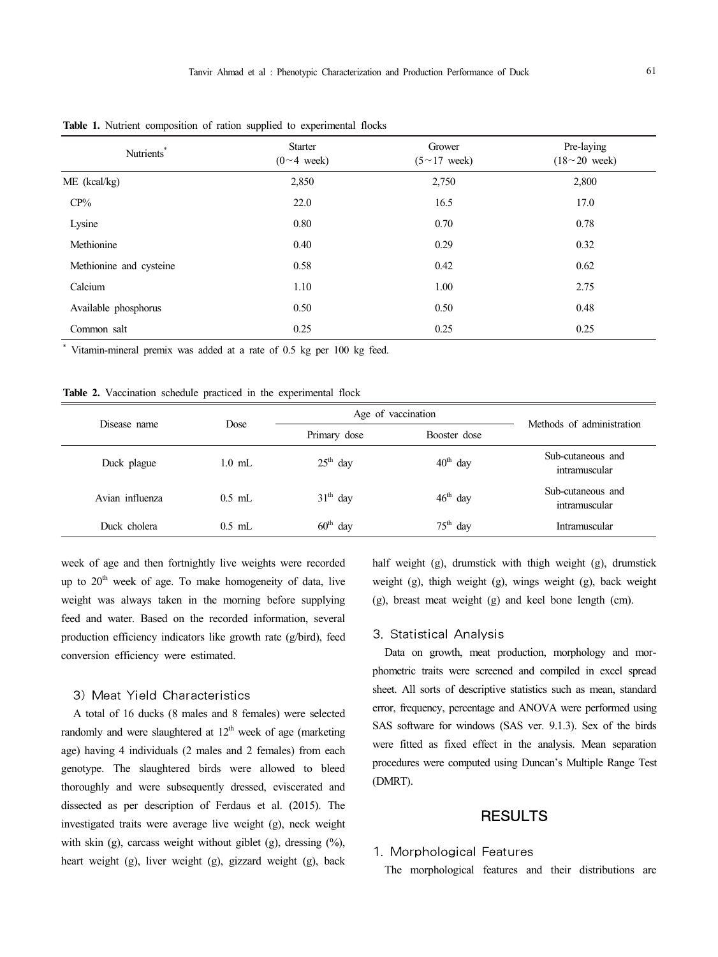| Nutrients*              | <b>Starter</b><br>$(0~1$ week) | Grower<br>$(5 \sim 17$ week) | Pre-laying<br>$(18~20$ week) |
|-------------------------|--------------------------------|------------------------------|------------------------------|
| ME (kcal/kg)            | 2,850                          | 2,750                        | 2,800                        |
| $CP\%$                  | 22.0                           | 16.5                         | 17.0                         |
| Lysine                  | 0.80                           | 0.70                         | 0.78                         |
| Methionine              | 0.40                           | 0.29                         | 0.32                         |
| Methionine and cysteine | 0.58                           | 0.42                         | 0.62                         |
| Calcium                 | 1.10                           | 1.00                         | 2.75                         |
| Available phosphorus    | 0.50                           | 0.50                         | 0.48                         |
| Common salt             | 0.25                           | 0.25                         | 0.25                         |

**Table 1.** Nutrient composition of ration supplied to experimental flocks

\* Vitamin-mineral premix was added at a rate of 0.5 kg per 100 kg feed.

**Table 2.** Vaccination schedule practiced in the experimental flock

| Disease name    | Dose     | Age of vaccination | Methods of administration |                                    |  |
|-----------------|----------|--------------------|---------------------------|------------------------------------|--|
|                 |          | Primary dose       | Booster dose              |                                    |  |
| Duck plague     | $1.0$ mL | $25th$ day         | $40th$ day                | Sub-cutaneous and<br>intramuscular |  |
| Avian influenza | $0.5$ mL | $31th$ day         | $46th$ day                | Sub-cutaneous and<br>intramuscular |  |
| Duck cholera    | $0.5$ mL | $60th$ day         | $75th$ day                | Intramuscular                      |  |

week of age and then fortnightly live weights were recorded up to  $20<sup>th</sup>$  week of age. To make homogeneity of data, live weight was always taken in the morning before supplying feed and water. Based on the recorded information, several production efficiency indicators like growth rate (g/bird), feed conversion efficiency were estimated.

## 3) Meat Yield Characteristics

A total of 16 ducks (8 males and 8 females) were selected randomly and were slaughtered at  $12<sup>th</sup>$  week of age (marketing age) having 4 individuals (2 males and 2 females) from each genotype. The slaughtered birds were allowed to bleed thoroughly and were subsequently dressed, eviscerated and dissected as per description of Ferdaus et al. (2015). The investigated traits were average live weight (g), neck weight with skin (g), carcass weight without giblet (g), dressing (%), heart weight (g), liver weight (g), gizzard weight (g), back half weight (g), drumstick with thigh weight (g), drumstick weight (g), thigh weight (g), wings weight (g), back weight (g), breast meat weight (g) and keel bone length (cm).

#### 3. Statistical Analysis

Data on growth, meat production, morphology and mor phometric traits were screened and compiled in excel spread sheet. All sorts of descriptive statistics such as mean, standard error, frequency, percentage and ANOVA were performed using SAS software for windows (SAS ver. 9.1.3). Sex of the birds were fitted as fixed effect in the analysis. Mean separation procedures were computed using Duncan's Multiple Range Test (DMRT).

# RESULTS

### 1. Morphological Features

The morphological features and their distributions are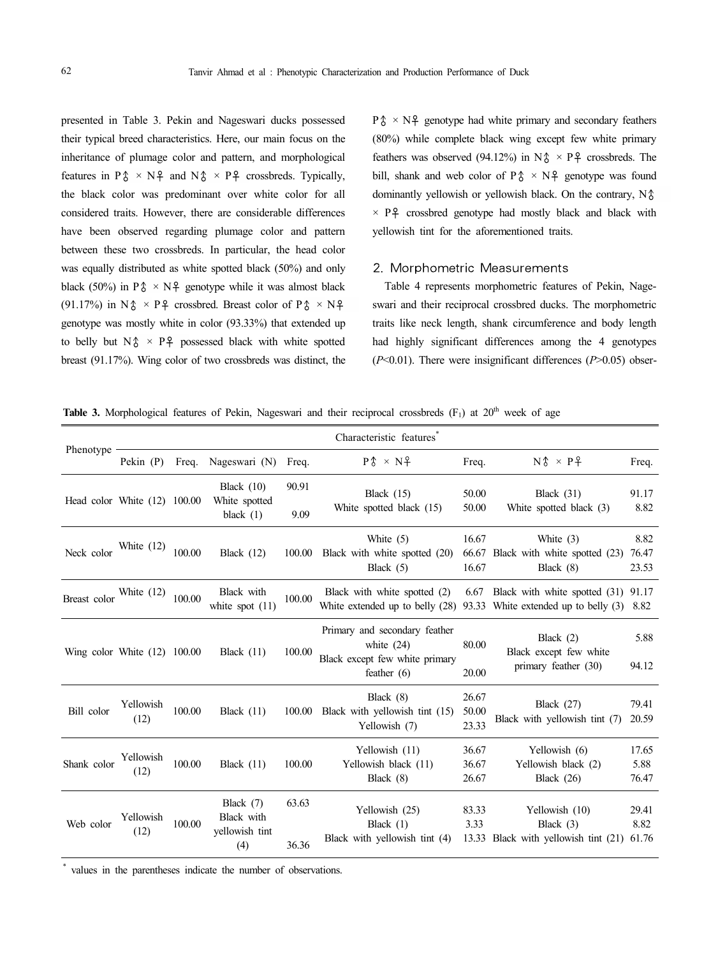presented in Table 3. Pekin and Nageswari ducks possessed their typical breed characteristics. Here, our main focus on the inheritance of plumage color and pattern, and morphological features in  $P\& \times N\}$  and  $N\& \times P\}$  crossbreds. Typically, the black color was predominant over white color for all considered traits. However, there are considerable differences have been observed regarding plumage color and pattern between these two crossbreds. In particular, the head color was equally distributed as white spotted black (50%) and only black (50%) in P $\uparrow \times N$  genotype while it was almost black (91.17%) in N $\uparrow \times P\uparrow$  crossbred. Breast color of P $\uparrow \times N\uparrow$ genotype was mostly white in color (93.33%) that extended up to belly but  $N\delta \times P\}$  possessed black with white spotted breast (91.17%). Wing color of two crossbreds was distinct, the

 $P_0^* \times N_f^2$  genotype had white primary and secondary feathers (80%) while complete black wing except few white primary feathers was observed (94.12%) in  $N\uparrow \times P\uparrow$  crossbreds. The bill, shank and web color of  $P_0^* \times N_f^2$  genotype was found dominantly yellowish or yellowish black. On the contrary, N♂  $\times$  P  $\uparrow$  crossbred genotype had mostly black and black with yellowish tint for the aforementioned traits.

### 2. Morphometric Measurements

Table 4 represents morphometric features of Pekin, Nage swari and their reciprocal crossbred ducks. The morphometric traits like neck length, shank circumference and body length had highly significant differences among the 4 genotypes (*P*<0.01). There were insignificant differences (*P*>0.05) obser-

Table 3. Morphological features of Pekin, Nageswari and their reciprocal crossbreds (F<sub>1</sub>) at 20<sup>th</sup> week of age

|              |                                |            |                                                    |                | Characteristic features                                                                                       |                         |                                                                       |                        |
|--------------|--------------------------------|------------|----------------------------------------------------|----------------|---------------------------------------------------------------------------------------------------------------|-------------------------|-----------------------------------------------------------------------|------------------------|
| Phenotype    | Pekin $(P)$                    | Freq.      | Nageswari (N)                                      | Freq.          | $P \$ $\times N$ $+$                                                                                          | Freq.                   | $N \$ $\times$ $P \}$                                                 | Freq.                  |
|              | Head color White (12) 100.00   |            | Black $(10)$<br>White spotted<br>black $(1)$       | 90.91<br>9.09  | Black $(15)$<br>White spotted black (15)                                                                      | 50.00<br>50.00          | Black $(31)$<br>White spotted black (3)                               | 91.17<br>8.82          |
| Neck color   | White $(12)$                   | 100.00     | Black (12)                                         | 100.00         | White $(5)$<br>Black with white spotted (20)<br>Black $(5)$                                                   | 16.67<br>66.67<br>16.67 | White (3)<br>Black with white spotted (23)<br>Black $(8)$             | 8.82<br>76.47<br>23.53 |
| Breast color | White $(12)$                   | $100.00\,$ | Black with<br>white spot $(11)$                    | 100.00         | Black with white spotted (2)<br>White extended up to belly $(28)$ 93.33 White extended up to belly $(3)$ 8.82 | 6.67                    | Black with white spotted (31) 91.17                                   |                        |
|              | Wing color White $(12)$ 100.00 |            | Black $(11)$                                       | 100.00         | Primary and secondary feather<br>white $(24)$<br>Black except few white primary<br>feather $(6)$              | 80.00<br>20.00          | Black $(2)$<br>Black except few white<br>primary feather (30)         | 5.88<br>94.12          |
| Bill color   | Yellowish<br>(12)              | 100.00     | Black $(11)$                                       |                | Black $(8)$<br>100.00 Black with yellowish tint (15)<br>Yellowish (7)                                         | 26.67<br>50.00<br>23.33 | Black $(27)$<br>Black with yellowish tint (7)                         | 79.41<br>20.59         |
| Shank color  | Yellowish<br>(12)              | 100.00     | Black $(11)$                                       | 100.00         | Yellowish (11)<br>Yellowish black (11)<br>Black (8)                                                           | 36.67<br>36.67<br>26.67 | Yellowish (6)<br>Yellowish black (2)<br>Black $(26)$                  | 17.65<br>5.88<br>76.47 |
| Web color    | Yellowish<br>(12)              | 100.00     | Black $(7)$<br>Black with<br>yellowish tint<br>(4) | 63.63<br>36.36 | Yellowish (25)<br>Black $(1)$<br>Black with yellowish tint (4)                                                | 83.33<br>3.33           | Yellowish (10)<br>Black $(3)$<br>13.33 Black with yellowish tint (21) | 29.41<br>8.82<br>61.76 |

values in the parentheses indicate the number of observations.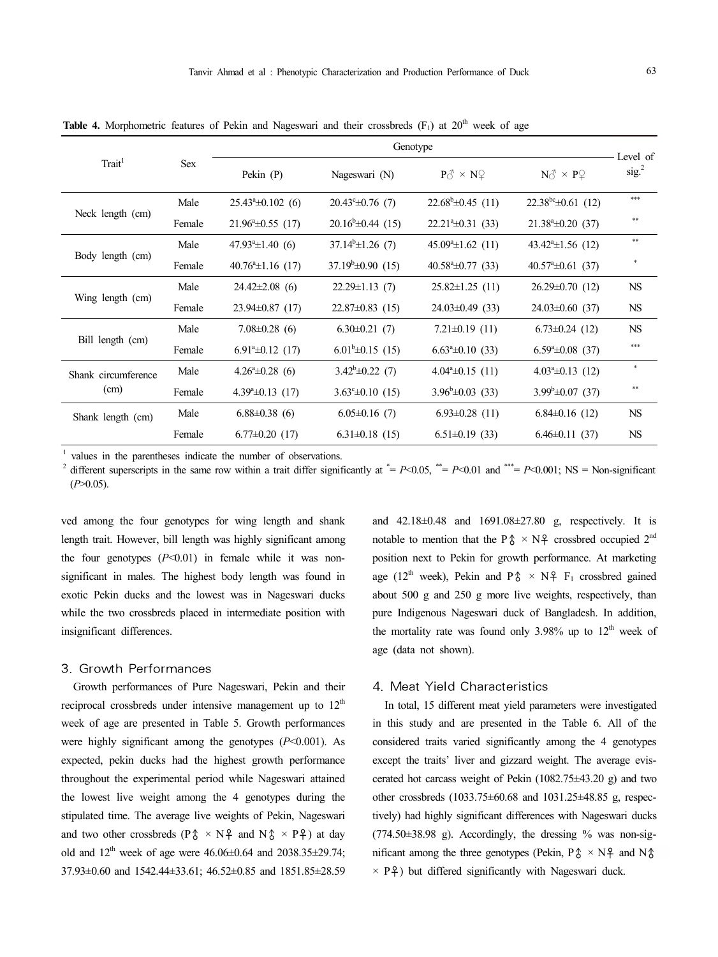|                     |            | Genotype                      |                               |                                              |                                              |                               |
|---------------------|------------|-------------------------------|-------------------------------|----------------------------------------------|----------------------------------------------|-------------------------------|
| Trait <sup>1</sup>  | <b>Sex</b> | Pekin $(P)$                   | Nageswari (N)                 | $P_0^{\mathcal{A}} \times N_1^{\mathcal{Q}}$ | $N_0^{\mathcal{A}} \times P_1^{\mathcal{Q}}$ | Level of<br>sig. <sup>2</sup> |
|                     | Male       | $25.43^{\circ} \pm 0.102$ (6) | $20.43^{\circ} \pm 0.76$ (7)  | $22.68^b \pm 0.45$ (11)                      | $22.38^{bc} \pm 0.61$ (12)                   | $***$                         |
| Neck length (cm)    | Female     | $21.96^{\circ} \pm 0.55$ (17) | $20.16^{\circ} \pm 0.44$ (15) | $22.21^{\circ} \pm 0.31$ (33)                | $21.38^{\circ} \pm 0.20$ (37)                | $\ast\ast$                    |
|                     | Male       | $47.93^{\circ} \pm 1.40$ (6)  | $37.14^{\circ} \pm 1.26$ (7)  | $45.09^{\circ} \pm 1.62$ (11)                | $43.42^{\circ} \pm 1.56$ (12)                | $***$                         |
| Body length (cm)    | Female     | $40.76^{\circ}$ ±1.16 (17)    | $37.19^b \pm 0.90$ (15)       | $40.58^{\circ} \pm 0.77$ (33)                | $40.57^{\circ} \pm 0.61$ (37)                |                               |
| Wing length (cm)    | Male       | $24.42\pm2.08$ (6)            | $22.29 \pm 1.13$ (7)          | $25.82 \pm 1.25$ (11)                        | $26.29 \pm 0.70$ (12)                        | $_{\rm NS}$                   |
|                     | Female     | $23.94\pm0.87$ (17)           | $22.87 \pm 0.83$ (15)         | $24.03 \pm 0.49$ (33)                        | $24.03 \pm 0.60$ (37)                        | $_{\rm NS}$                   |
|                     | Male       | $7.08 \pm 0.28$ (6)           | $6.30\pm0.21$ (7)             | $7.21 \pm 0.19$ (11)                         | $6.73 \pm 0.24$ (12)                         | $_{\rm NS}$                   |
| Bill length (cm)    | Female     | $6.91^{\circ} \pm 0.12$ (17)  | $6.01^b \pm 0.15$ (15)        | $6.63^{\circ}$ ±0.10 (33)                    | $6.59^{\circ} \pm 0.08$ (37)                 | $***$                         |
| Shank circumference | Male       | $4.26^{\circ} \pm 0.28$ (6)   | $3.42^b \pm 0.22$ (7)         | $4.04^{\circ} \pm 0.15$ (11)                 | $4.03^{\circ} \pm 0.13$ (12)                 | $\ast$                        |
| (cm)                | Female     | $4.39^{\circ} \pm 0.13$ (17)  | $3.63^{\circ} \pm 0.10$ (15)  | $3.96^{\mathrm{b}}\pm0.03$ (33)              | $3.99^{\mathrm{b}}\pm0.07(37)$               | $\ast\ast$                    |
| Shank length (cm)   | Male       | $6.88\pm0.38$ (6)             | $6.05 \pm 0.16$ (7)           | $6.93 \pm 0.28$ (11)                         | $6.84\pm0.16$ (12)                           | $_{\rm NS}$                   |
|                     | Female     | $6.77\pm0.20$ (17)            | $6.31 \pm 0.18$ (15)          | $6.51 \pm 0.19$ (33)                         | $6.46 \pm 0.11$ (37)                         | <b>NS</b>                     |

**Table 4.** Morphometric features of Pekin and Nageswari and their crossbreds  $(F_1)$  at  $20<sup>th</sup>$  week of age

values in the parentheses indicate the number of observations.

different superscripts in the same row within a trait differ significantly at  $^* = P \le 0.05$ ,  $^{**} = P \le 0.01$  and  $^{***} = P \le 0.001$ ; NS = Non-significant  $(P>0.05)$ .

ved among the four genotypes for wing length and shank length trait. However, bill length was highly significant among the four genotypes  $(P<0.01)$  in female while it was nonsignificant in males. The highest body length was found in exotic Pekin ducks and the lowest was in Nageswari ducks while the two crossbreds placed in intermediate position with insignificant differences.

### 3. Growth Performances

Growth performances of Pure Nageswari, Pekin and their reciprocal crossbreds under intensive management up to  $12<sup>th</sup>$ week of age are presented in Table 5. Growth performances were highly significant among the genotypes (*P*<0.001). As expected, pekin ducks had the highest growth performance throughout the experimental period while Nageswari attained the lowest live weight among the 4 genotypes during the stipulated time. The average live weights of Pekin, Nageswari and two other crossbreds ( $P\hat{\phi} \times N\hat{+}$  and  $N\hat{\phi} \times P\hat{+}$ ) at day old and  $12^{th}$  week of age were  $46.06\pm0.64$  and  $2038.35\pm29.74$ ; 37.93±0.60 and 1542.44±33.61; 46.52±0.85 and 1851.85±28.59 and 42.18±0.48 and 1691.08±27.80 g, respectively. It is notable to mention that the P $\delta \times N$  crossbred occupied  $2^{nd}$ position next to Pekin for growth performance. At marketing age (12<sup>th</sup> week), Pekin and P $\uparrow \sim N_f^2$  F<sub>1</sub> crossbred gained about 500 g and 250 g more live weights, respectively, than pure Indigenous Nageswari duck of Bangladesh. In addition, the mortality rate was found only 3.98% up to  $12<sup>th</sup>$  week of age (data not shown).

## 4. Meat Yield Characteristics

In total, 15 different meat yield parameters were investigated in this study and are presented in the Table 6. All of the considered traits varied significantly among the 4 genotypes except the traits' liver and gizzard weight. The average evis cerated hot carcass weight of Pekin (1082.75±43.20 g) and two other crossbreds (1033.75±60.68 and 1031.25±48.85 g, respectively) had highly significant differences with Nageswari ducks  $(774.50\pm38.98)$  g). Accordingly, the dressing % was non-significant among the three genotypes (Pekin,  $P\hat{\phi} \times N\hat{+}$  and  $N\hat{\phi}$  $\times$  P<sup>2</sup>) but differed significantly with Nageswari duck.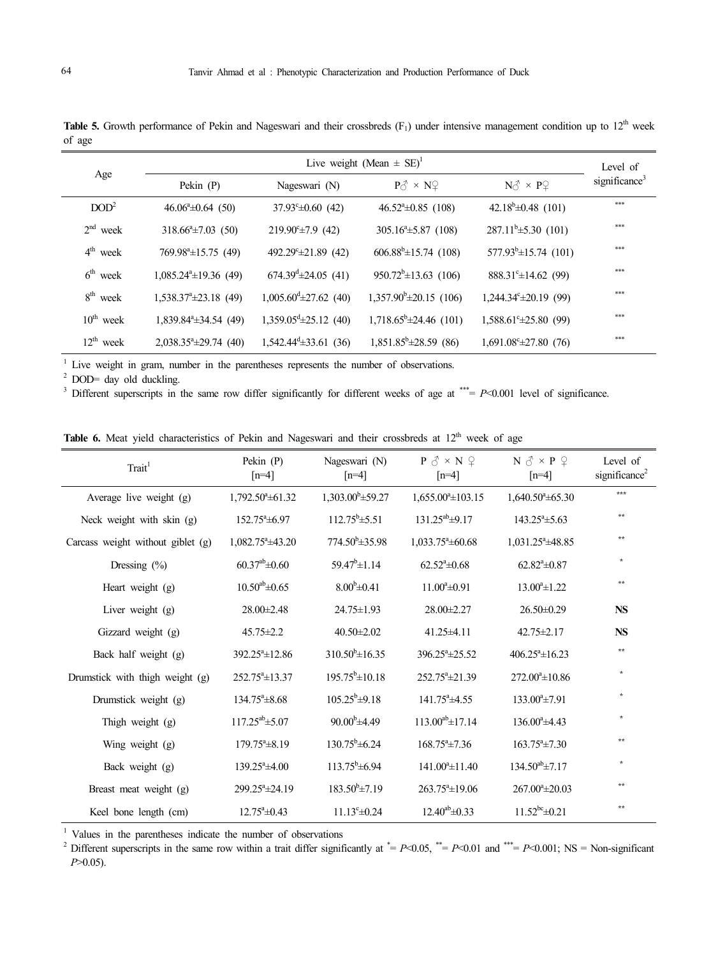| Age                   |                                   | Live weight (Mean $\pm$ SE) <sup>1</sup> |                                              |                                              |                           |  |  |
|-----------------------|-----------------------------------|------------------------------------------|----------------------------------------------|----------------------------------------------|---------------------------|--|--|
|                       | Pekin $(P)$                       | Nageswari (N)                            | $P_0^{\mathcal{A}} \times N_1^{\mathcal{Q}}$ | $N_0^{\mathcal{A}} \times P_1^{\mathcal{Q}}$ | significance <sup>3</sup> |  |  |
| DOD <sup>2</sup>      | $46.06^{\circ} \pm 0.64$ (50)     | $37.93^{\circ} \pm 0.60$ (42)            | $46.52^{\circ} \pm 0.85$ (108)               | 42.18 <sup>b</sup> $\pm$ 0.48 (101)          | $***$                     |  |  |
| $2nd$ week            | $318.66^{\circ} \pm 7.03$ (50)    | $219.90^{\circ} \pm 7.9$ (42)            | $305.16^{\circ} \pm 5.87$ (108)              | $287.11^b \pm 5.30$ (101)                    | $***$                     |  |  |
| $4th$ week            | $769.98^{\circ} \pm 15.75$ (49)   | 492.29 <sup>c</sup> $\pm$ 21.89 (42)     | $606.88^{\circ} \pm 15.74$ (108)             | $577.93^{\circ} \pm 15.74$ (101)             | $***$                     |  |  |
| $6th$ week            | $1,085.24^{\circ} \pm 19.36$ (49) | $674.39^{\text{d}} \pm 24.05$ (41)       | $950.72^b \pm 13.63$ (106)                   | $888.31^{\circ} \pm 14.62$ (99)              | $***$                     |  |  |
| $8th$ week            | $1,538.37^{\circ} \pm 23.18$ (49) | $1,005.60^{\mathrm{d}}\pm27.62$ (40)     | $1,357.90^{\circ} \pm 20.15$ (106)           | $1,244.34^{\circ} \pm 20.19$ (99)            | ***                       |  |  |
| $10^{\text{th}}$ week | $1,839.84^{\circ} \pm 34.54$ (49) | $1,359.05^{\text{d}}\pm 25.12$ (40)      | $1,718.65^{\circ}$ ±24.46 (101)              | $1,588.61^{\circ} \pm 25.80$ (99)            | $***$                     |  |  |
| $12^{th}$ week        | $2,038.35^{\circ}$ ± 29.74 (40)   | $1,542.44^{\mathrm{d}}\pm33.61$ (36)     | $1,851.85^{\circ}$ ± 28.59 (86)              | $1,691.08^{\circ} \pm 27.80$ (76)            | ***                       |  |  |

**Table 5.** Growth performance of Pekin and Nageswari and their crossbreds  $(F_1)$  under intensive management condition up to  $12<sup>th</sup>$  week of age

 $1$  Live weight in gram, number in the parentheses represents the number of observations.

 $2$  DOD= day old duckling.

<sup>3</sup> Different superscripts in the same row differ significantly for different weeks of age at \*\*\*= *P*<0.001 level of significance.

Table 6. Meat yield characteristics of Pekin and Nageswari and their crossbreds at 12<sup>th</sup> week of age

| Trait <sup>1</sup>                | Pekin $(P)$<br>$[n=4]$       | Nageswari (N)<br>$[n=4]$      | $P \n3 \times N \n9$<br>$[n=4]$ | $N \circ \sim P \circ \sim$<br>$[n=4]$ | Level of<br>significance <sup>2</sup> |
|-----------------------------------|------------------------------|-------------------------------|---------------------------------|----------------------------------------|---------------------------------------|
| Average live weight (g)           | $1,792.50^{\circ} \pm 61.32$ | $1,303.00^{\circ}$ ±59.27     | $1,655.00^{\circ} \pm 103.15$   | $1,640.50^{\circ} \pm 65.30$           | ***                                   |
| Neck weight with skin (g)         | $152.75^{\circ}$ ±6.97       | $112.75^b \pm 5.51$           | $131.25^{ab} \pm 9.17$          | $143.25^{\circ} \pm 5.63$              | $\pm\pm$                              |
| Carcass weight without giblet (g) | $1,082.75^{\circ}$ ±43.20    | $774.50^b \pm 35.98$          | $1,033.75^{\circ} \pm 60.68$    | $1,031.25^{\circ}$ ±48.85              | $**$                                  |
| Dressing $(\% )$                  | $60.37^{ab} \pm 0.60$        | 59.47 <sup>b</sup> $\pm$ 1.14 | $62.52^{\mathrm{a}}\pm0.68$     | $62.82^{\mathrm{a}}\pm0.87$            | $\star$                               |
| Heart weight (g)                  | $10.50^{ab} \pm 0.65$        | $8.00^{b} \pm 0.41$           | $11.00^a \pm 0.91$              | $13.00^a \pm 1.22$                     | $\star\star$                          |
| Liver weight (g)                  | 28.00±2.48                   | 24.75±1.93                    | 28.00±2.27                      | $26.50\pm0.29$                         | NS                                    |
| Gizzard weight (g)                | $45.75 \pm 2.2$              | $40.50 \pm 2.02$              | 41.25±4.11                      | $42.75 \pm 2.17$                       | NS                                    |
| Back half weight (g)              | $392.25^{\circ}$ ±12.86      | $310.50^{\circ}$ ±16.35       | $396.25^{\circ}$ ±25.52         | $406.25^{\circ}$ ±16.23                | $\star\star$                          |
| Drumstick with thigh weight (g)   | $252.75^{\circ}$ ±13.37      | $195.75^b \pm 10.18$          | $252.75^{\circ}$ ±21.39         | $272.00^{\circ}$ ±10.86                | $\star$                               |
| Drumstick weight (g)              | $134.75^{\circ}$ ± 8.68      | $105.25^b \pm 9.18$           | $141.75^a \pm 4.55$             | $133.00^a \pm 7.91$                    | $\star$                               |
| Thigh weight (g)                  | $117.25^{ab} \pm 5.07$       | $90.00^{\rm b}$ ±4.49         | $113.00^{ab} \pm 17.14$         | $136.00^{\circ}$ ±4.43                 | $\star$                               |
| Wing weight (g)                   | $179.75^{\circ}$ ±8.19       | $130.75^b \pm 6.24$           | $168.75^{\circ}$ ±7.36          | $163.75^a \pm 7.30$                    | $**$                                  |
| Back weight (g)                   | $139.25^{\circ}$ ±4.00       | $113.75^b \pm 6.94$           | $141.00^{\circ} \pm 11.40$      | $134.50^{ab} \pm 7.17$                 | $\star$                               |
| Breast meat weight (g)            | $299.25^{\circ}$ ±24.19      | $183.50^{b} \pm 7.19$         | $263.75^{\circ}$ ±19.06         | $267.00^{\circ}$ ±20.03                | **                                    |
| Keel bone length (cm)             | $12.75^{\circ}$ $\pm$ 0.43   | $11.13^{\circ} \pm 0.24$      | $12.40^{ab} \pm 0.33$           | $11.52^{bc} \pm 0.21$                  | $\pm\pm$                              |

<sup>1</sup> Values in the parentheses indicate the number of observations

<sup>2</sup> Different superscripts in the same row within a trait differ significantly at  $* = P<0.05$ ,  $* = P<0.01$  and  $* = P<0.001$ ; NS = Non-significant *P*>0.05).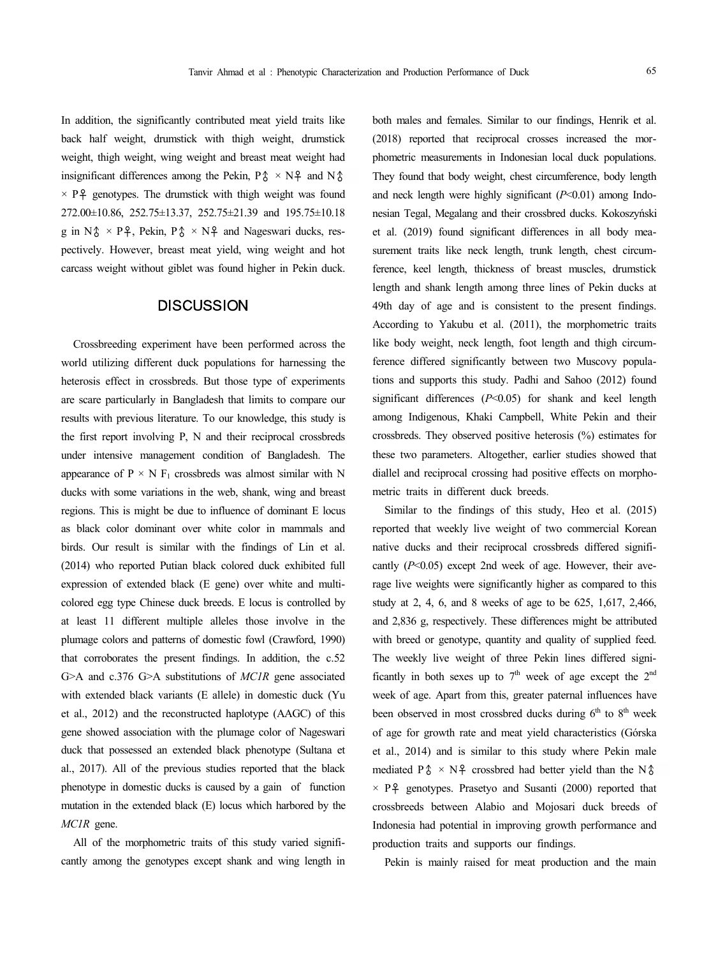In addition, the significantly contributed meat yield traits like back half weight, drumstick with thigh weight, drumstick weight, thigh weight, wing weight and breast meat weight had insignificant differences among the Pekin,  $P\hat{\phi} \times N\hat{+}$  and  $N\hat{\phi}$  $\times$  P<sup>2</sup> genotypes. The drumstick with thigh weight was found 272.00±10.86, 252.75±13.37, 252.75±21.39 and 195.75±10.18 g in N $\uparrow \times P$  Pº, Pekin, P $\uparrow \times N$ <sup>2</sup> and Nageswari ducks, respectively. However, breast meat yield, wing weight and hot carcass weight without giblet was found higher in Pekin duck.

## **DISCUSSION**

Crossbreeding experiment have been performed across the world utilizing different duck populations for harnessing the heterosis effect in crossbreds. But those type of experiments are scare particularly in Bangladesh that limits to compare our results with previous literature. To our knowledge, this study is the first report involving P, N and their reciprocal crossbreds under intensive management condition of Bangladesh. The appearance of  $P \times N$  F<sub>1</sub> crossbreds was almost similar with N ducks with some variations in the web, shank, wing and breast regions. This is might be due to influence of dominant E locus as black color dominant over white color in mammals and birds. Our result is similar with the findings of Lin et al. (2014) who reported Putian black colored duck exhibited full expression of extended black (E gene) over white and multi colored egg type Chinese duck breeds. E locus is controlled by at least 11 different multiple alleles those involve in the plumage colors and patterns of domestic fowl (Crawford, 1990) that corroborates the present findings. In addition, the c.52 G>A and c.376 G>A substitutions of *MC1R* gene associated with extended black variants (E allele) in domestic duck (Yu et al., 2012) and the reconstructed haplotype (AAGC) of this gene showed association with the plumage color of Nageswari duck that possessed an extended black phenotype (Sultana et al., 2017). All of the previous studies reported that the black phenotype in domestic ducks is caused by a gain of function mutation in the extended black (E) locus which harbored by the *MC1R* gene.

All of the morphometric traits of this study varied signifi cantly among the genotypes except shank and wing length in both males and females. Similar to our findings, Henrik et al. (2018) reported that reciprocal crosses increased the mor phometric measurements in Indonesian local duck populations. They found that body weight, chest circumference, body length and neck length were highly significant ( $P<0.01$ ) among Indonesian Tegal, Megalang and their crossbred ducks. Kokoszyński et al. (2019) found significant differences in all body mea surement traits like neck length, trunk length, chest circumference, keel length, thickness of breast muscles, drumstick length and shank length among three lines of Pekin ducks at 49th day of age and is consistent to the present findings. According to Yakubu et al. (2011), the morphometric traits like body weight, neck length, foot length and thigh circumference differed significantly between two Muscovy populations and supports this study. Padhi and Sahoo (2012) found significant differences (*P*<0.05) for shank and keel length among Indigenous, Khaki Campbell, White Pekin and their crossbreds. They observed positive heterosis (%) estimates for these two parameters. Altogether, earlier studies showed that diallel and reciprocal crossing had positive effects on morpho metric traits in different duck breeds.

Similar to the findings of this study, Heo et al. (2015) reported that weekly live weight of two commercial Korean native ducks and their reciprocal crossbreds differed signifi cantly ( $P<0.05$ ) except 2nd week of age. However, their average live weights were significantly higher as compared to this study at 2, 4, 6, and 8 weeks of age to be 625, 1,617, 2,466, and 2,836 g, respectively. These differences might be attributed with breed or genotype, quantity and quality of supplied feed. The weekly live weight of three Pekin lines differed significantly in both sexes up to  $7<sup>th</sup>$  week of age except the  $2<sup>nd</sup>$ week of age. Apart from this, greater paternal influences have been observed in most crossbred ducks during 6<sup>th</sup> to 8<sup>th</sup> week of age for growth rate and meat yield characteristics (Górska et al., 2014) and is similar to this study where Pekin male mediated  $P\hat{\phi} \times N\hat{\phi}$  crossbred had better yield than the N $\hat{\phi}$  $\times$  P  $\frac{9}{7}$  genotypes. Prasetyo and Susanti (2000) reported that crossbreeds between Alabio and Mojosari duck breeds of Indonesia had potential in improving growth performance and production traits and supports our findings.

Pekin is mainly raised for meat production and the main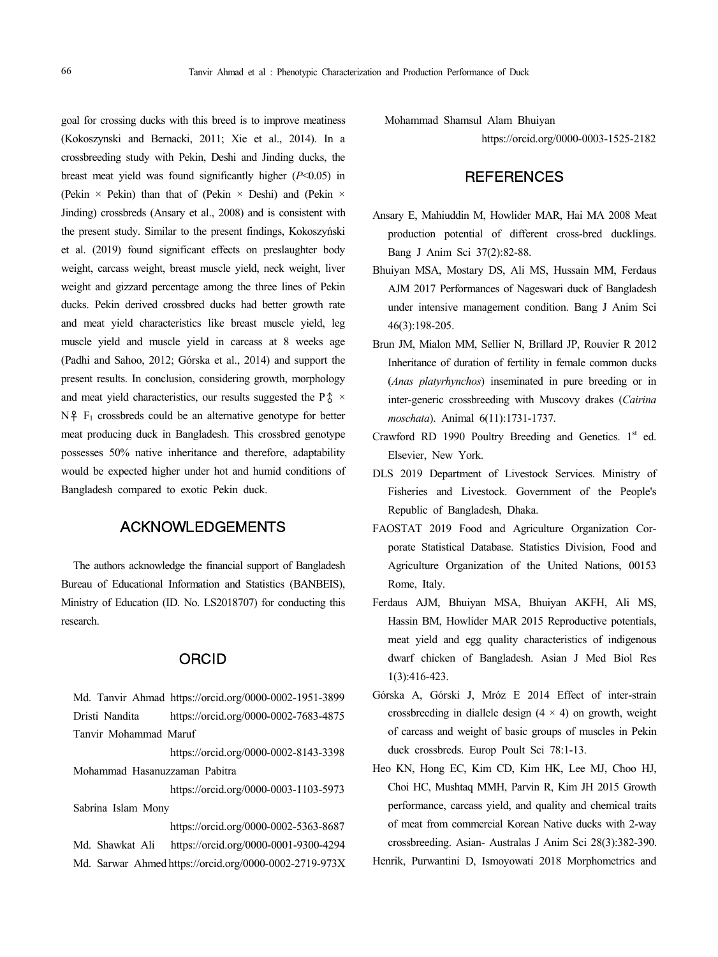goal for crossing ducks with this breed is to improve meatiness (Kokoszynski and Bernacki, 2011; Xie et al., 2014). In a crossbreeding study with Pekin, Deshi and Jinding ducks, the breast meat yield was found significantly higher (*P*<0.05) in (Pekin  $\times$  Pekin) than that of (Pekin  $\times$  Deshi) and (Pekin  $\times$ Jinding) crossbreds (Ansary et al., 2008) and is consistent with the present study. Similar to the present findings, Kokoszyński et al. (2019) found significant effects on preslaughter body weight, carcass weight, breast muscle yield, neck weight, liver weight and gizzard percentage among the three lines of Pekin ducks. Pekin derived crossbred ducks had better growth rate and meat yield characteristics like breast muscle yield, leg muscle yield and muscle yield in carcass at 8 weeks age (Padhi and Sahoo, 2012; Górska et al., 2014) and support the present results. In conclusion, considering growth, morphology and meat yield characteristics, our results suggested the P $\uparrow \times$ N♀ F<sup>1</sup> crossbreds could be an alternative genotype for better meat producing duck in Bangladesh. This crossbred genotype possesses 50% native inheritance and therefore, adaptability would be expected higher under hot and humid conditions of Bangladesh compared to exotic Pekin duck.

# ACKNOWLEDGEMENTS

The authors acknowledge the financial support of Bangladesh Bureau of Educational Information and Statistics (BANBEIS), Ministry of Education (ID. No. LS2018707) for conducting this research.

## ORCID

Md. Tanvir Ahmad https://orcid.org/0000-0002-1951-3899 Dristi Nandita https://orcid.org/0000-0002-7683-4875 Tanvir Mohammad Maruf https://orcid.org/0000-0002-8143-3398 Mohammad Hasanuzzaman Pabitra https://orcid.org/0000-0003-1103-5973 Sabrina Islam Mony https://orcid.org/0000-0002-5363-8687 Md. Shawkat Ali https://orcid.org/0000-0001-9300-4294 Md. Sarwar Ahmed https://orcid.org/0000-0002-2719-973X Mohammad Shamsul Alam Bhuiyan

https://orcid.org/0000-0003-1525-2182

# **REFERENCES**

- Ansary E, Mahiuddin M, Howlider MAR, Hai MA 2008 Meat production potential of different cross-bred ducklings. Bang J Anim Sci 37(2):82-88.
- Bhuiyan MSA, Mostary DS, Ali MS, Hussain MM, Ferdaus AJM 2017 Performances of Nageswari duck of Bangladesh under intensive management condition. Bang J Anim Sci 46(3):198-205.
- Brun JM, Mialon MM, Sellier N, Brillard JP, Rouvier R 2012 Inheritance of duration of fertility in female common ducks (*Anas platyrhynchos*) inseminated in pure breeding or in inter-generic crossbreeding with Muscovy drakes (*Cairina moschata*). Animal 6(11):1731-1737.
- Crawford RD 1990 Poultry Breeding and Genetics. 1<sup>st</sup> ed. Elsevier, New York.
- DLS 2019 Department of Livestock Services. Ministry of Fisheries and Livestock. Government of the People's Republic of Bangladesh, Dhaka.
- FAOSTAT 2019 Food and Agriculture Organization Cor porate Statistical Database. Statistics Division, Food and Agriculture Organization of the United Nations, 00153 Rome, Italy.
- Ferdaus AJM, Bhuiyan MSA, Bhuiyan AKFH, Ali MS, Hassin BM, Howlider MAR 2015 Reproductive potentials, meat yield and egg quality characteristics of indigenous dwarf chicken of Bangladesh. Asian J Med Biol Res 1(3):416-423.
- Górska A, Górski J, Mróz E 2014 Effect of inter-strain crossbreeding in diallele design  $(4 \times 4)$  on growth, weight of carcass and weight of basic groups of muscles in Pekin duck crossbreds. Europ Poult Sci 78:1-13.
- Heo KN, Hong EC, Kim CD, Kim HK, Lee MJ, Choo HJ, Choi HC, Mushtaq MMH, Parvin R, Kim JH 2015 Growth performance, carcass yield, and quality and chemical traits of meat from commercial Korean Native ducks with 2-way crossbreeding. Asian- Australas J Anim Sci 28(3):382-390.

Henrik, Purwantini D, Ismoyowati 2018 Morphometrics and